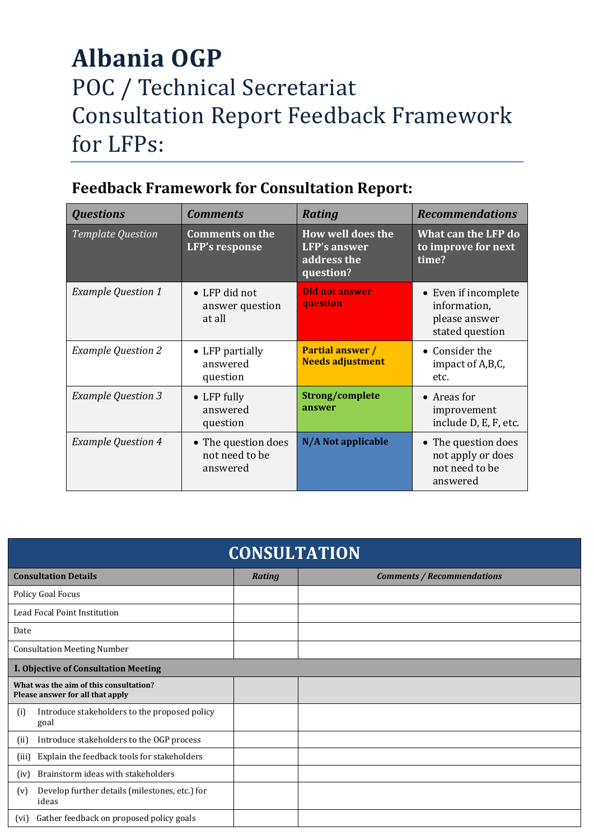## **Albania OGP**  POC / Technical Secretariat Consultation Report Feedback Framework for LFPs:

| <b>Feedback Framework for Consultation Report:</b> |
|----------------------------------------------------|
|                                                    |

| <b>Questions</b>          | <b>Comments</b>                                   | <b>Rating</b>                                                               | <b>Recommendations</b>                                                   |
|---------------------------|---------------------------------------------------|-----------------------------------------------------------------------------|--------------------------------------------------------------------------|
| <b>Template Question</b>  | <b>Comments on the</b><br><b>LFP's response</b>   | <b>How well does the</b><br><b>LFP's answer</b><br>address the<br>question? | What can the LFP do<br>to improve for next<br>time?                      |
| <b>Example Question 1</b> | • LFP did not<br>answer question<br>at all        | <b>Did not answer</b><br>question                                           | • Even if incomplete<br>information,<br>please answer<br>stated question |
| <b>Example Question 2</b> | • LFP partially<br>answered<br>question           | <b>Partial answer /</b><br><b>Needs adjustment</b>                          | • Consider the<br>impact of A,B,C,<br>etc.                               |
| <b>Example Question 3</b> | $\bullet$ LFP fully<br>answered<br>question       | Strong/complete<br>answer                                                   | • Areas for<br>improvement<br>include D, E, F, etc.                      |
| <b>Example Question 4</b> | • The question does<br>not need to be<br>answered | N/A Not applicable                                                          | • The question does<br>not apply or does<br>not need to be<br>answered   |

| <b>CONSULTATION</b>                |                                                                            |        |                                   |  |  |  |  |  |
|------------------------------------|----------------------------------------------------------------------------|--------|-----------------------------------|--|--|--|--|--|
| <b>Consultation Details</b>        |                                                                            | Rating | <b>Comments / Recommendations</b> |  |  |  |  |  |
| Policy Goal Focus                  |                                                                            |        |                                   |  |  |  |  |  |
| Lead Focal Point Institution       |                                                                            |        |                                   |  |  |  |  |  |
| Date                               |                                                                            |        |                                   |  |  |  |  |  |
| <b>Consultation Meeting Number</b> |                                                                            |        |                                   |  |  |  |  |  |
|                                    | I. Objective of Consultation Meeting                                       |        |                                   |  |  |  |  |  |
|                                    | What was the aim of this consultation?<br>Please answer for all that apply |        |                                   |  |  |  |  |  |
| (i)                                | Introduce stakeholders to the proposed policy<br>goal                      |        |                                   |  |  |  |  |  |
| (ii)                               | Introduce stakeholders to the OGP process                                  |        |                                   |  |  |  |  |  |
| (iii)                              | Explain the feedback tools for stakeholders                                |        |                                   |  |  |  |  |  |
| (iv)                               | Brainstorm ideas with stakeholders                                         |        |                                   |  |  |  |  |  |
| (v)                                | Develop further details (milestones, etc.) for<br>ideas                    |        |                                   |  |  |  |  |  |
| (vi)                               | Gather feedback on proposed policy goals                                   |        |                                   |  |  |  |  |  |